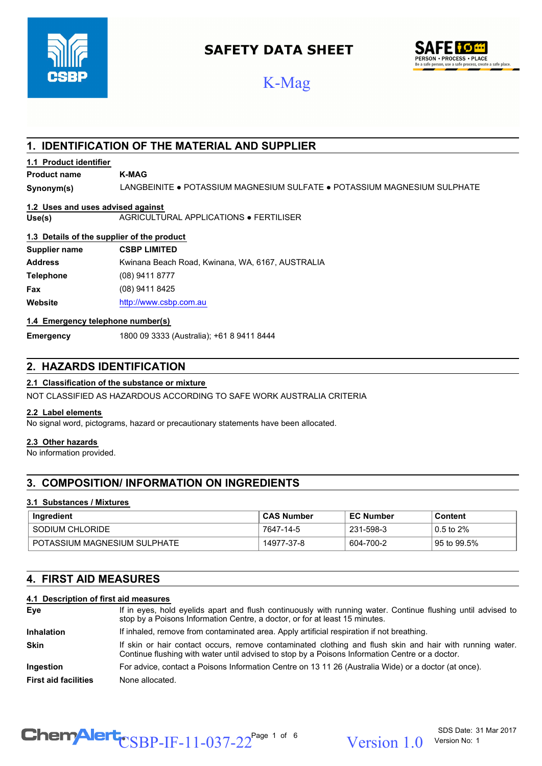

## **SAFETY DATA SHEET**



# K-Mag

## **1. IDENTIFICATION OF THE MATERIAL AND SUPPLIER**

#### **1.1 Product identifier**

## **Product name K-MAG**

**Synonym(s)** LANGBEINITE ● POTASSIUM MAGNESIUM SULFATE ● POTASSIUM MAGNESIUM SULPHATE

## **1.2 Uses and uses advised against**

**Use(s)** AGRICULTURAL APPLICATIONS ● FERTILISER

#### **1.3 Details of the supplier of the product**

| Supplier name    | <b>CSBP LIMITED</b>                              |
|------------------|--------------------------------------------------|
| <b>Address</b>   | Kwinana Beach Road, Kwinana, WA, 6167, AUSTRALIA |
| <b>Telephone</b> | (08) 9411 8777                                   |
| Fax              | (08) 9411 8425                                   |
| Website          | http://www.csbp.com.au                           |

#### **1.4 Emergency telephone number(s)**

**Emergency** 1800 09 3333 (Australia); +61 8 9411 8444

## **2. HAZARDS IDENTIFICATION**

#### **2.1 Classification of the substance or mixture**

NOT CLASSIFIED AS HAZARDOUS ACCORDING TO SAFE WORK AUSTRALIA CRITERIA

#### **2.2 Label elements**

No signal word, pictograms, hazard or precautionary statements have been allocated.

#### **2.3 Other hazards**

No information provided.

## **3. COMPOSITION/ INFORMATION ON INGREDIENTS**

#### **3.1 Substances / Mixtures**

| Ingredient                   | <b>CAS Number</b> | <b>EC Number</b> | Content        |
|------------------------------|-------------------|------------------|----------------|
| SODIUM CHLORIDE              | 7647-14-5         | 231-598-3        | $0.5$ to $2\%$ |
| POTASSIUM MAGNESIUM SULPHATE | 14977-37-8        | 604-700-2        | 95 to 99.5%    |

## **4. FIRST AID MEASURES**

#### **4.1 Description of first aid measures**

| Eye                         | If in eyes, hold eyelids apart and flush continuously with running water. Continue flushing until advised to<br>stop by a Poisons Information Centre, a doctor, or for at least 15 minutes.                 |  |
|-----------------------------|-------------------------------------------------------------------------------------------------------------------------------------------------------------------------------------------------------------|--|
| <b>Inhalation</b>           | If inhaled, remove from contaminated area. Apply artificial respiration if not breathing.                                                                                                                   |  |
| <b>Skin</b>                 | If skin or hair contact occurs, remove contaminated clothing and flush skin and hair with running water.<br>Continue flushing with water until advised to stop by a Poisons Information Centre or a doctor. |  |
| <b>Ingestion</b>            | For advice, contact a Poisons Information Centre on 13 11 26 (Australia Wide) or a doctor (at once).                                                                                                        |  |
| <b>First aid facilities</b> | None allocated.                                                                                                                                                                                             |  |

# $\text{CSBP-IF-11-037-22}^{\text{Page 1 of 6}}$  Version 1.0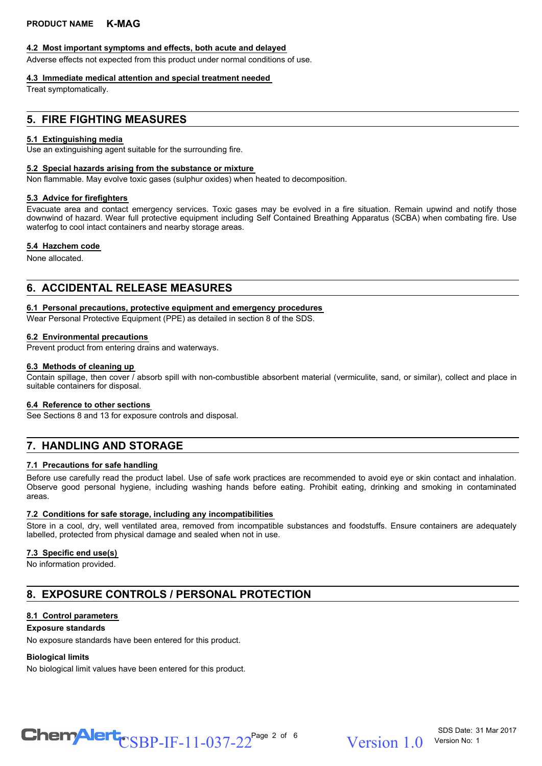#### **4.2 Most important symptoms and effects, both acute and delayed**

Adverse effects not expected from this product under normal conditions of use.

## **4.3 Immediate medical attention and special treatment needed**

Treat symptomatically.

## **5. FIRE FIGHTING MEASURES**

## **5.1 Extinguishing media**

Use an extinguishing agent suitable for the surrounding fire.

## **5.2 Special hazards arising from the substance or mixture**

Non flammable. May evolve toxic gases (sulphur oxides) when heated to decomposition.

## **5.3 Advice for firefighters**

Evacuate area and contact emergency services. Toxic gases may be evolved in a fire situation. Remain upwind and notify those downwind of hazard. Wear full protective equipment including Self Contained Breathing Apparatus (SCBA) when combating fire. Use waterfog to cool intact containers and nearby storage areas.

#### **5.4 Hazchem code**

None allocated.

## **6. ACCIDENTAL RELEASE MEASURES**

#### **6.1 Personal precautions, protective equipment and emergency procedures**

Wear Personal Protective Equipment (PPE) as detailed in section 8 of the SDS.

#### **6.2 Environmental precautions**

Prevent product from entering drains and waterways.

#### **6.3 Methods of cleaning up**

Contain spillage, then cover / absorb spill with non-combustible absorbent material (vermiculite, sand, or similar), collect and place in suitable containers for disposal.

#### **6.4 Reference to other sections**

See Sections 8 and 13 for exposure controls and disposal.

## **7. HANDLING AND STORAGE**

#### **7.1 Precautions for safe handling**

Before use carefully read the product label. Use of safe work practices are recommended to avoid eye or skin contact and inhalation. Observe good personal hygiene, including washing hands before eating. Prohibit eating, drinking and smoking in contaminated areas.

#### **7.2 Conditions for safe storage, including any incompatibilities**

Store in a cool, dry, well ventilated area, removed from incompatible substances and foodstuffs. Ensure containers are adequately labelled, protected from physical damage and sealed when not in use.

#### **7.3 Specific end use(s)**

No information provided.

## **8. EXPOSURE CONTROLS / PERSONAL PROTECTION**

#### **8.1 Control parameters**

#### **Exposure standards**

No exposure standards have been entered for this product.

#### **Biological limits**

No biological limit values have been entered for this product.

 $\text{CSBP-IF-11-037-22}^{\text{Page 2 of 6}}$  Version 1.0

SDS Date: 31 Mar 2017 Version No: 1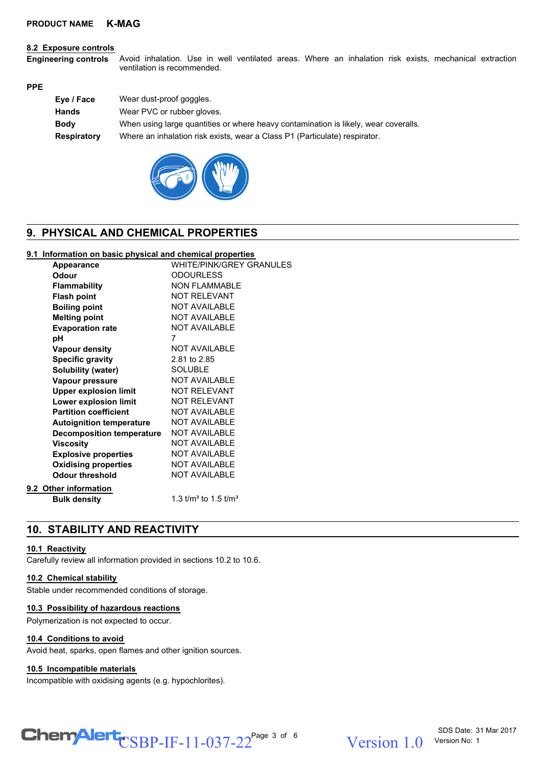#### **8.2 Exposure controls**

Avoid inhalation. Use in well ventilated areas. Where an inhalation risk exists, mechanical extraction ventilation is recommended. **Engineering controls**

#### **PPE**

| Eye / Face         | Wear dust-proof goggles.                                                            |
|--------------------|-------------------------------------------------------------------------------------|
| <b>Hands</b>       | Wear PVC or rubber gloves.                                                          |
| <b>Body</b>        | When using large quantities or where heavy contamination is likely, wear coveralls. |
| <b>Respiratory</b> | Where an inhalation risk exists, wear a Class P1 (Particulate) respirator.          |
|                    |                                                                                     |



## **9. PHYSICAL AND CHEMICAL PROPERTIES**

#### **9.1 Information on basic physical and chemical properties**

| <b>Appearance</b>                | WHITE/PINK/GREY GRANULES   |
|----------------------------------|----------------------------|
| Odour                            | <b>ODOURLESS</b>           |
| <b>Flammability</b>              | NON FI AMMABI F            |
| <b>Flash point</b>               | <b>NOT RELEVANT</b>        |
| <b>Boiling point</b>             | <b>NOT AVAILABLE</b>       |
| <b>Melting point</b>             | <b>NOT AVAILABLE</b>       |
| <b>Evaporation rate</b>          | <b>NOT AVAILABLE</b>       |
| рH                               | 7                          |
| <b>Vapour density</b>            | <b>NOT AVAILABLE</b>       |
| <b>Specific gravity</b>          | 2.81 to 2.85               |
| Solubility (water)               | <b>SOLUBLE</b>             |
| Vapour pressure                  | NOT AVAILABLE              |
| <b>Upper explosion limit</b>     | <b>NOT RELEVANT</b>        |
| Lower explosion limit            | NOT RELEVANT               |
| <b>Partition coefficient</b>     | NOT AVAILABLE              |
| <b>Autoignition temperature</b>  | <b>NOT AVAILABLE</b>       |
| <b>Decomposition temperature</b> | <b>NOT AVAILABLE</b>       |
| <b>Viscosity</b>                 | NOT AVAII ABI F            |
| <b>Explosive properties</b>      | <b>NOT AVAILABLE</b>       |
| <b>Oxidising properties</b>      | <b>NOT AVAILABLE</b>       |
| <b>Odour threshold</b>           | NOT AVAILABLE              |
| <b>Other information</b>         |                            |
| <b>Bulk density</b>              | 1.3 $t/m^3$ to 1.5 $t/m^3$ |
|                                  |                            |

## **10. STABILITY AND REACTIVITY**

#### **10.1 Reactivity**

**9.2** 

Carefully review all information provided in sections 10.2 to 10.6.

#### **10.2 Chemical stability**

Stable under recommended conditions of storage.

#### **10.3 Possibility of hazardous reactions**

Polymerization is not expected to occur.

#### **10.4 Conditions to avoid**

Avoid heat, sparks, open flames and other ignition sources.

#### **10.5 Incompatible materials**

Incompatible with oxidising agents (e.g. hypochlorites).

# $\text{CSBP-IF-11-037-22}^{\text{Page 3 of 6}}$  Version 1.0

Version 1 0 Version No: 1

SDS Date: 31 Mar 2017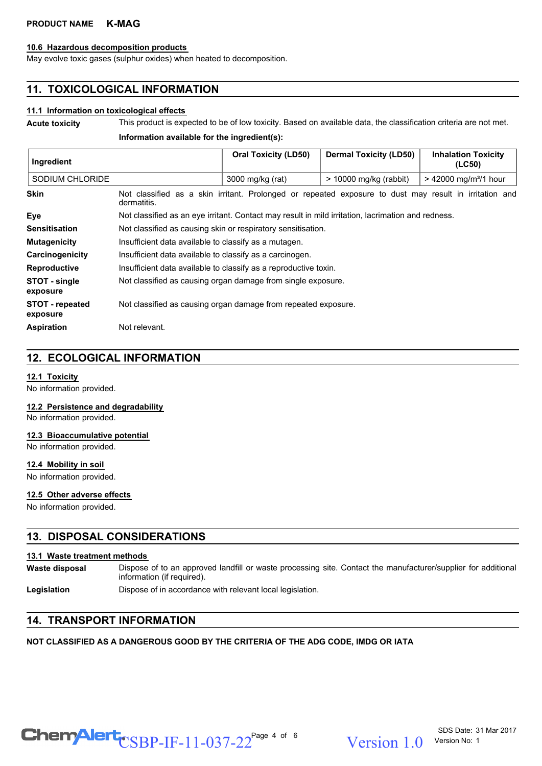#### **10.6 Hazardous decomposition products**

May evolve toxic gases (sulphur oxides) when heated to decomposition.

## **11. TOXICOLOGICAL INFORMATION**

## **11.1 Information on toxicological effects**

**Acute toxicity** This product is expected to be of low toxicity. Based on available data, the classification criteria are not met. **Information available for the ingredient(s):**

| Ingredient                         |                                                                                                                       | <b>Oral Toxicity (LD50)</b> | <b>Dermal Toxicity (LD50)</b> | <b>Inhalation Toxicity</b><br>(LC50) |
|------------------------------------|-----------------------------------------------------------------------------------------------------------------------|-----------------------------|-------------------------------|--------------------------------------|
| SODIUM CHLORIDE                    |                                                                                                                       | 3000 mg/kg (rat)            | $>$ 10000 mg/kg (rabbit)      | $> 42000$ mg/m <sup>3</sup> /1 hour  |
| <b>Skin</b>                        | Not classified as a skin irritant. Prolonged or repeated exposure to dust may result in irritation and<br>dermatitis. |                             |                               |                                      |
| Eye                                | Not classified as an eye irritant. Contact may result in mild irritation, lacrimation and redness.                    |                             |                               |                                      |
| <b>Sensitisation</b>               | Not classified as causing skin or respiratory sensitisation.                                                          |                             |                               |                                      |
| <b>Mutagenicity</b>                | Insufficient data available to classify as a mutagen.                                                                 |                             |                               |                                      |
| Carcinogenicity                    | Insufficient data available to classify as a carcinogen.                                                              |                             |                               |                                      |
| <b>Reproductive</b>                | Insufficient data available to classify as a reproductive toxin.                                                      |                             |                               |                                      |
| STOT - single<br>exposure          | Not classified as causing organ damage from single exposure.                                                          |                             |                               |                                      |
| <b>STOT - repeated</b><br>exposure | Not classified as causing organ damage from repeated exposure.                                                        |                             |                               |                                      |
| <b>Aspiration</b>                  | Not relevant.                                                                                                         |                             |                               |                                      |

## **12. ECOLOGICAL INFORMATION**

#### **12.1 Toxicity**

No information provided.

**12.2 Persistence and degradability**

No information provided.

#### **12.3 Bioaccumulative potential**

No information provided.

#### **12.4 Mobility in soil**

No information provided.

#### **12.5 Other adverse effects**

No information provided.

## **13. DISPOSAL CONSIDERATIONS**

#### **13.1 Waste treatment methods**

Dispose of to an approved landfill or waste processing site. Contact the manufacturer/supplier for additional information (if required). **Waste disposal**

Legislation **Dispose of in accordance with relevant local legislation.** 

## **14. TRANSPORT INFORMATION**

## **NOT CLASSIFIED AS A DANGEROUS GOOD BY THE CRITERIA OF THE ADG CODE, IMDG OR IATA**

 $\text{CSBP-IF-11-037-22}^{\text{Page 4 of 6}}$  Version 1.0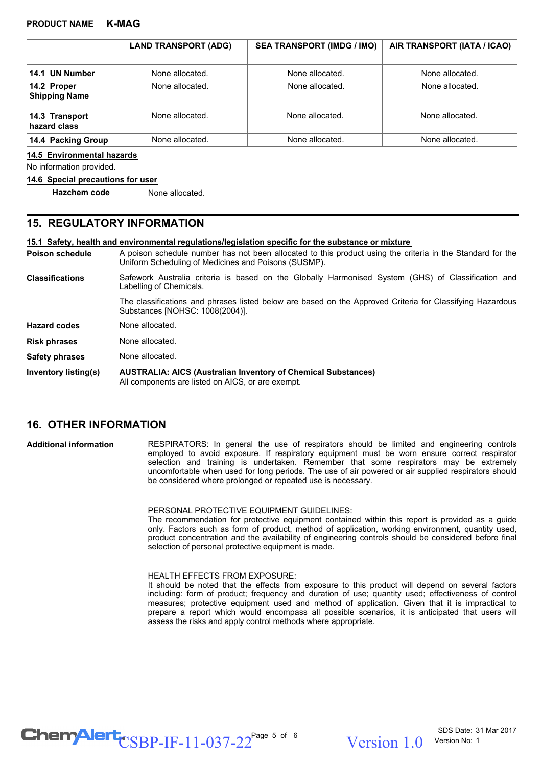|                                     | <b>LAND TRANSPORT (ADG)</b> | <b>SEA TRANSPORT (IMDG / IMO)</b> | AIR TRANSPORT (IATA / ICAO) |
|-------------------------------------|-----------------------------|-----------------------------------|-----------------------------|
| 14.1 UN Number                      | None allocated.             | None allocated.                   | None allocated.             |
| 14.2 Proper<br><b>Shipping Name</b> | None allocated.             | None allocated.                   | None allocated.             |
| 14.3 Transport<br>hazard class      | None allocated.             | None allocated.                   | None allocated.             |
| 14.4 Packing Group                  | None allocated.             | None allocated.                   | None allocated.             |

#### **14.5 Environmental hazards**

No information provided.

#### **14.6 Special precautions for user**

**Hazchem code** None allocated.

## **15. REGULATORY INFORMATION**

**15.1 Safety, health and environmental regulations/legislation specific for the substance or mixture**

A poison schedule number has not been allocated to this product using the criteria in the Standard for the Uniform Scheduling of Medicines and Poisons (SUSMP). **Poison schedule**

Safework Australia criteria is based on the Globally Harmonised System (GHS) of Classification and Labelling of Chemicals. **Classifications**

> The classifications and phrases listed below are based on the Approved Criteria for Classifying Hazardous Substances [NOHSC: 1008(2004)].

- **Hazard codes** None allocated.
- **Risk phrases** None allocated.
- **Safety phrases** None allocated.
- **AUSTRALIA: AICS (Australian Inventory of Chemical Substances)** All components are listed on AICS, or are exempt. **Inventory listing(s)**

## **16. OTHER INFORMATION**

RESPIRATORS: In general the use of respirators should be limited and engineering controls employed to avoid exposure. If respiratory equipment must be worn ensure correct respirator selection and training is undertaken. Remember that some respirators may be extremely uncomfortable when used for long periods. The use of air powered or air supplied respirators should be considered where prolonged or repeated use is necessary. **Additional information**

PERSONAL PROTECTIVE EQUIPMENT GUIDELINES:

The recommendation for protective equipment contained within this report is provided as a guide only. Factors such as form of product, method of application, working environment, quantity used, product concentration and the availability of engineering controls should be considered before final selection of personal protective equipment is made.

HEALTH EFFECTS FROM EXPOSURE:

It should be noted that the effects from exposure to this product will depend on several factors including: form of product; frequency and duration of use; quantity used; effectiveness of control measures; protective equipment used and method of application. Given that it is impractical to prepare a report which would encompass all possible scenarios, it is anticipated that users will assess the risks and apply control methods where appropriate.

 $\text{CSBP-IF-11-037-22}^{\text{Page 5 of 6}}$  Version 1.0

Version 1.0 Version No: 1

SDS Date: 31 Mar 2017